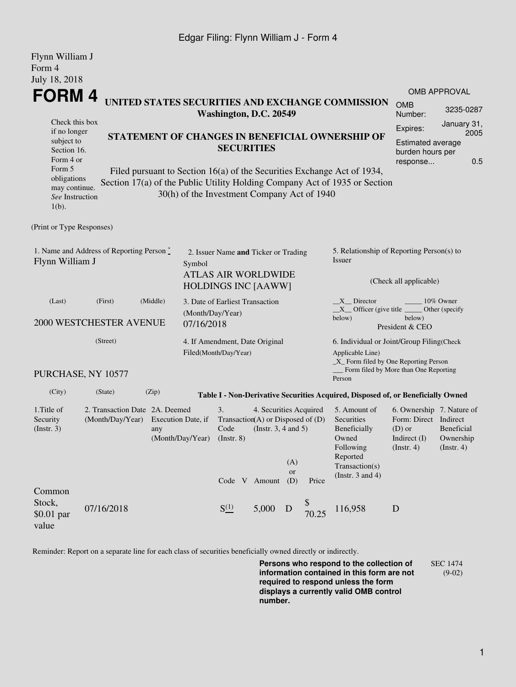## Edgar Filing: Flynn William J - Form 4

| Flynn William J<br>Form 4                                                                                                                                                                                                                                                                                                                                                                                                                                                                                                       |                                                    |          |                                                         |                                                                                                  |                                               |                                                                                                           |                                                                      |                                                                                                |                                                                                                      |                                                    |  |  |
|---------------------------------------------------------------------------------------------------------------------------------------------------------------------------------------------------------------------------------------------------------------------------------------------------------------------------------------------------------------------------------------------------------------------------------------------------------------------------------------------------------------------------------|----------------------------------------------------|----------|---------------------------------------------------------|--------------------------------------------------------------------------------------------------|-----------------------------------------------|-----------------------------------------------------------------------------------------------------------|----------------------------------------------------------------------|------------------------------------------------------------------------------------------------|------------------------------------------------------------------------------------------------------|----------------------------------------------------|--|--|
| July 18, 2018                                                                                                                                                                                                                                                                                                                                                                                                                                                                                                                   |                                                    |          |                                                         |                                                                                                  |                                               |                                                                                                           |                                                                      |                                                                                                |                                                                                                      | OMB APPROVAL                                       |  |  |
| <b>FORM4</b><br>UNITED STATES SECURITIES AND EXCHANGE COMMISSION<br>Washington, D.C. 20549<br>Check this box<br>if no longer<br>STATEMENT OF CHANGES IN BENEFICIAL OWNERSHIP OF<br>subject to<br><b>SECURITIES</b><br>Section 16.<br>Form 4 or<br>Form 5<br>Filed pursuant to Section 16(a) of the Securities Exchange Act of 1934,<br>obligations<br>Section 17(a) of the Public Utility Holding Company Act of 1935 or Section<br>may continue.<br>30(h) of the Investment Company Act of 1940<br>See Instruction<br>$1(b)$ . |                                                    |          |                                                         |                                                                                                  |                                               |                                                                                                           | <b>OMB</b><br>Number:                                                | 3235-0287                                                                                      |                                                                                                      |                                                    |  |  |
|                                                                                                                                                                                                                                                                                                                                                                                                                                                                                                                                 |                                                    |          |                                                         |                                                                                                  |                                               |                                                                                                           | Expires:<br><b>Estimated average</b><br>burden hours per<br>response | January 31,<br>2005<br>0.5                                                                     |                                                                                                      |                                                    |  |  |
| (Print or Type Responses)                                                                                                                                                                                                                                                                                                                                                                                                                                                                                                       |                                                    |          |                                                         |                                                                                                  |                                               |                                                                                                           |                                                                      |                                                                                                |                                                                                                      |                                                    |  |  |
| 1. Name and Address of Reporting Person *<br>Flynn William J<br>Symbol                                                                                                                                                                                                                                                                                                                                                                                                                                                          |                                                    |          |                                                         | 2. Issuer Name and Ticker or Trading<br><b>ATLAS AIR WORLDWIDE</b><br><b>HOLDINGS INC [AAWW]</b> |                                               |                                                                                                           |                                                                      | 5. Relationship of Reporting Person(s) to<br>Issuer<br>(Check all applicable)                  |                                                                                                      |                                                    |  |  |
| (Last)                                                                                                                                                                                                                                                                                                                                                                                                                                                                                                                          | (First)<br>2000 WESTCHESTER AVENUE                 | (Middle) | (Month/Day/Year)<br>07/16/2018                          | 3. Date of Earliest Transaction                                                                  |                                               |                                                                                                           |                                                                      | $X$ Director<br>$X$ Officer (give title $\overline{\phantom{a}}$<br>below)                     | below)<br>President & CEO                                                                            | 10% Owner<br>Other (specify                        |  |  |
| (Street)                                                                                                                                                                                                                                                                                                                                                                                                                                                                                                                        |                                                    |          | 4. If Amendment, Date Original<br>Filed(Month/Day/Year) |                                                                                                  |                                               | 6. Individual or Joint/Group Filing(Check<br>Applicable Line)<br>$\_X$ Form filed by One Reporting Person |                                                                      |                                                                                                |                                                                                                      |                                                    |  |  |
|                                                                                                                                                                                                                                                                                                                                                                                                                                                                                                                                 | PURCHASE, NY 10577                                 |          |                                                         |                                                                                                  |                                               |                                                                                                           |                                                                      | Person                                                                                         | Form filed by More than One Reporting                                                                |                                                    |  |  |
| (City)                                                                                                                                                                                                                                                                                                                                                                                                                                                                                                                          | (State)                                            | (Zip)    |                                                         |                                                                                                  |                                               |                                                                                                           |                                                                      | Table I - Non-Derivative Securities Acquired, Disposed of, or Beneficially Owned               |                                                                                                      |                                                    |  |  |
| 1. Title of<br>Security<br>$($ Instr. 3 $)$                                                                                                                                                                                                                                                                                                                                                                                                                                                                                     | 2. Transaction Date 2A. Deemed<br>(Month/Day/Year) | any      | Execution Date, if<br>(Month/Day/Year) (Instr. 8)       | 3.<br>Transaction(A) or Disposed of $(D)$<br>Code                                                | 4. Securities Acquired<br>(Instr. 3, 4 and 5) | (A)<br><b>or</b>                                                                                          |                                                                      | 5. Amount of<br>Securities<br>Beneficially<br>Owned<br>Following<br>Reported<br>Transaction(s) | 6. Ownership 7. Nature of<br>Form: Direct Indirect<br>$(D)$ or<br>Indirect $(I)$<br>$($ Instr. 4 $)$ | <b>Beneficial</b><br>Ownership<br>$($ Instr. 4 $)$ |  |  |
| Common<br>Stock,<br>\$0.01 par<br>value                                                                                                                                                                                                                                                                                                                                                                                                                                                                                         | 07/16/2018                                         |          |                                                         | Code V Amount<br>$S^{(1)}_{-}$                                                                   | 5,000                                         | (D)<br>D                                                                                                  | Price<br>70.25                                                       | (Instr. $3$ and $4$ )<br>116,958                                                               | $\mathbf D$                                                                                          |                                                    |  |  |

Reminder: Report on a separate line for each class of securities beneficially owned directly or indirectly.

**Persons who respond to the collection of information contained in this form are not required to respond unless the form displays a currently valid OMB control number.** SEC 1474 (9-02)